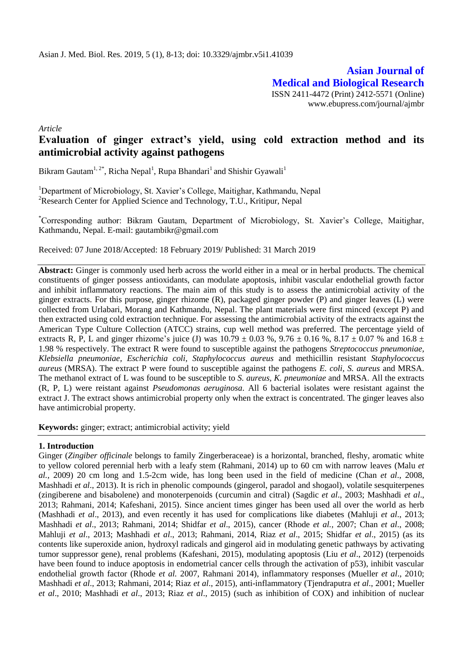**Asian Journal of Medical and Biological Research** ISSN 2411-4472 (Print) 2412-5571 (Online) www.ebupress.com/journal/ajmbr

*Article*

# **Evaluation of ginger extract's yield, using cold extraction method and its antimicrobial activity against pathogens**

Bikram Gautam<sup>1, 2\*</sup>, Richa Nepal<sup>1</sup>, Rupa Bhandari<sup>1</sup> and Shishir Gyawali<sup>1</sup>

<sup>1</sup>Department of Microbiology, St. Xavier's College, Maitighar, Kathmandu, Nepal <sup>2</sup>Research Center for Applied Science and Technology, T.U., Kritipur, Nepal

\*Corresponding author: Bikram Gautam, Department of Microbiology, St. Xavier's College, Maitighar, Kathmandu, Nepal. E-mail: gautambikr@gmail.com

Received: 07 June 2018/Accepted: 18 February 2019/ Published: 31 March 2019

**Abstract:** Ginger is commonly used herb across the world either in a meal or in herbal products. The chemical constituents of ginger possess antioxidants, can modulate apoptosis, inhibit vascular endothelial growth factor and inhibit inflammatory reactions. The main aim of this study is to assess the antimicrobial activity of the ginger extracts. For this purpose, ginger rhizome (R), packaged ginger powder (P) and ginger leaves (L) were collected from Urlabari, Morang and Kathmandu, Nepal. The plant materials were first minced (except P) and then extracted using cold extraction technique. For assessing the antimicrobial activity of the extracts against the American Type Culture Collection (ATCC) strains, cup well method was preferred. The percentage yield of extracts R, P, L and ginger rhizome's juice (J) was  $10.79 \pm 0.03$  %,  $9.76 \pm 0.16$  %,  $8.17 \pm 0.07$  % and  $16.8 \pm 0.03$ 1.98 % respectively. The extract R were found to susceptible against the pathogens *Streptococcus pneumoniae, Klebsiella pneumoniae, Escherichia coli, Staphylococcus aureus* and methicillin resistant *Staphylococcus aureus* (MRSA). The extract P were found to susceptible against the pathogens *E. coli, S. aureus* and MRSA. The methanol extract of L was found to be susceptible to *S. aureus, K. pneumoniae* and MRSA. All the extracts (R, P, L) were reistant against *Pseudomonas aeruginosa*. All 6 bacterial isolates were resistant against the extract J. The extract shows antimicrobial property only when the extract is concentrated. The ginger leaves also have antimicrobial property.

**Keywords:** ginger; extract; antimicrobial activity; yield

# **1. Introduction**

Ginger (*Zingiber officinale* belongs to family Zingerberaceae) is a horizontal, branched, fleshy, aromatic white to yellow colored perennial herb with a leafy stem (Rahmani, 2014) up to 60 cm with narrow leaves (Malu *et al.,* 2009) 20 cm long and 1.5-2cm wide, has long been used in the field of medicine (Chan *et al*., 2008, Mashhadi *et al*., 2013). It is rich in phenolic compounds (gingerol, paradol and shogaol), volatile sesquiterpenes (zingiberene and bisabolene) and monoterpenoids (curcumin and citral) (Sagdic *et al*., 2003; Mashhadi *et al*., 2013; Rahmani, 2014; Kafeshani, 2015). Since ancient times ginger has been used all over the world as herb (Mashhadi *et al*., 2013), and even recently it has used for complications like diabetes (Mahluji *et al*., 2013; Mashhadi *et al*., 2013; Rahmani, 2014; Shidfar *et al*., 2015), cancer (Rhode *et al.,* 2007; Chan *et al*., 2008; Mahluji *et al*., 2013; Mashhadi *et al*., 2013; Rahmani, 2014, Riaz *et al*., 2015; Shidfar *et al*., 2015) (as its contents like superoxide anion, hydroxyl radicals and gingerol aid in modulating genetic pathways by activating tumor suppressor gene), renal problems (Kafeshani, 2015), modulating apoptosis (Liu *et al*., 2012) (terpenoids have been found to induce apoptosis in endometrial cancer cells through the activation of p53), inhibit vascular endothelial growth factor (Rhode *et al.* 2007, Rahmani 2014), inflammatory responses (Mueller *et al*., 2010; Mashhadi *et al*., 2013; Rahmani, 2014; Riaz *et al*., 2015), anti-inflammatory (Tjendraputra *et al*., 2001; Mueller *et al*., 2010; Mashhadi *et al*., 2013; Riaz *et al*., 2015) (such as inhibition of COX) and inhibition of nuclear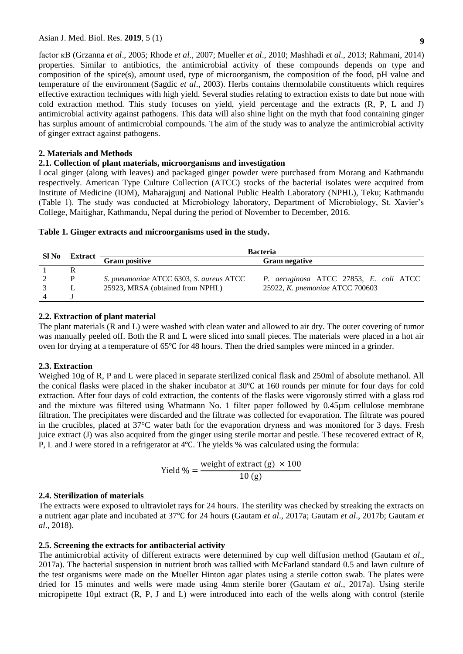**9**

factor кB (Grzanna *et al*., 2005; Rhode *et al*., 2007; Mueller *et al*., 2010; Mashhadi *et al*., 2013; Rahmani, 2014) properties. Similar to antibiotics, the antimicrobial activity of these compounds depends on type and composition of the spice(s), amount used, type of microorganism, the composition of the food, pH value and temperature of the environment (Sagdic *et al*., 2003). Herbs contains thermolabile constituents which requires effective extraction techniques with high yield. Several studies relating to extraction exists to date but none with cold extraction method. This study focuses on yield, yield percentage and the extracts (R, P, L and J) antimicrobial activity against pathogens. This data will also shine light on the myth that food containing ginger has surplus amount of antimicrobial compounds. The aim of the study was to analyze the antimicrobial activity of ginger extract against pathogens.

# **2. Materials and Methods**

## **2.1. Collection of plant materials, microorganisms and investigation**

Local ginger (along with leaves) and packaged ginger powder were purchased from Morang and Kathmandu respectively. American Type Culture Collection (ATCC) stocks of the bacterial isolates were acquired from Institute of Medicine (IOM), Maharajgunj and National Public Health Laboratory (NPHL), Teku; Kathmandu (Table 1). The study was conducted at Microbiology laboratory, Department of Microbiology, St. Xavier's College, Maitighar, Kathmandu, Nepal during the period of November to December, 2016.

|  | Table 1. Ginger extracts and microorganisms used in the study. |  |
|--|----------------------------------------------------------------|--|
|  |                                                                |  |

| Sl No |  | <b>Bacteria</b>                         |                                        |  |  |  |  |
|-------|--|-----------------------------------------|----------------------------------------|--|--|--|--|
|       |  | Extract Gram positive                   | <b>Gram negative</b>                   |  |  |  |  |
|       |  |                                         |                                        |  |  |  |  |
|       |  | S. pneumoniae ATCC 6303, S. aureus ATCC | P. aeruginosa ATCC 27853, E. coli ATCC |  |  |  |  |
|       |  | 25923, MRSA (obtained from NPHL)        | 25922, K. pnemoniae ATCC 700603        |  |  |  |  |
|       |  |                                         |                                        |  |  |  |  |

# **2.2. Extraction of plant material**

The plant materials (R and L) were washed with clean water and allowed to air dry. The outer covering of tumor was manually peeled off. Both the R and L were sliced into small pieces. The materials were placed in a hot air oven for drying at a temperature of 65℃ for 48 hours. Then the dried samples were minced in a grinder.

# **2.3. Extraction**

Weighed 10g of R, P and L were placed in separate sterilized conical flask and 250ml of absolute methanol. All the conical flasks were placed in the shaker incubator at 30℃ at 160 rounds per minute for four days for cold extraction. After four days of cold extraction, the contents of the flasks were vigorously stirred with a glass rod and the mixture was filtered using Whatmann No. 1 filter paper followed by 0.45µm cellulose membrane filtration. The precipitates were discarded and the filtrate was collected for evaporation. The filtrate was poured in the crucibles, placed at 37°C water bath for the evaporation dryness and was monitored for 3 days. Fresh juice extract (J) was also acquired from the ginger using sterile mortar and pestle. These recovered extract of R, P, L and J were stored in a refrigerator at 4℃. The yields % was calculated using the formula:

$$
Yield % = \frac{weight of extract (g) \times 100}{10 (g)}
$$

# **2.4. Sterilization of materials**

The extracts were exposed to ultraviolet rays for 24 hours. The sterility was checked by streaking the extracts on a nutrient agar plate and incubated at 37℃ for 24 hours (Gautam *et al*., 2017a; Gautam *et al*., 2017b; Gautam *et al*., 2018).

#### **2.5. Screening the extracts for antibacterial activity**

The antimicrobial activity of different extracts were determined by cup well diffusion method (Gautam *et al*., 2017a). The bacterial suspension in nutrient broth was tallied with McFarland standard 0.5 and lawn culture of the test organisms were made on the Mueller Hinton agar plates using a sterile cotton swab. The plates were dried for 15 minutes and wells were made using 4mm sterile borer (Gautam *et al*., 2017a). Using sterile micropipette 10µl extract (R, P, J and L) were introduced into each of the wells along with control (sterile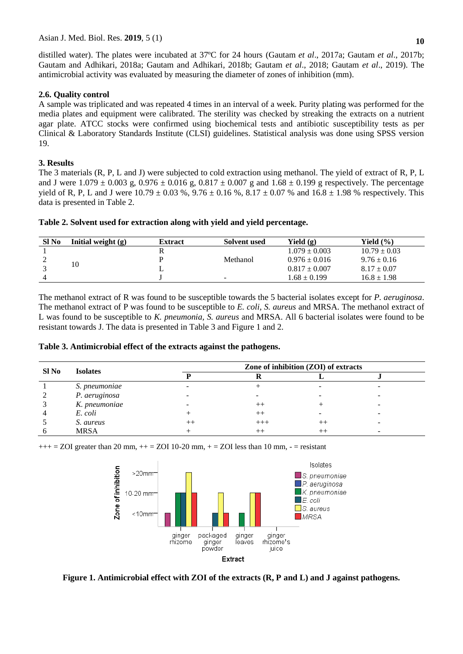distilled water). The plates were incubated at 37ºC for 24 hours (Gautam *et al*., 2017a; Gautam *et al*., 2017b; Gautam and Adhikari, 2018a; Gautam and Adhikari, 2018b; Gautam *et al*., 2018; Gautam *et al*., 2019). The antimicrobial activity was evaluated by measuring the diameter of zones of inhibition (mm).

### **2.6. Quality control**

A sample was triplicated and was repeated 4 times in an interval of a week. Purity plating was performed for the media plates and equipment were calibrated. The sterility was checked by streaking the extracts on a nutrient agar plate. ATCC stocks were confirmed using biochemical tests and antibiotic susceptibility tests as per Clinical & Laboratory Standards Institute (CLSI) guidelines. Statistical analysis was done using SPSS version 19.

## **3. Results**

The 3 materials (R, P, L and J) were subjected to cold extraction using methanol. The yield of extract of R, P, L and J were  $1.079 \pm 0.003$  g,  $0.976 \pm 0.016$  g,  $0.817 \pm 0.007$  g and  $1.68 \pm 0.199$  g respectively. The percentage yield of R, P, L and J were  $10.79 \pm 0.03$  %,  $9.76 \pm 0.16$  %,  $8.17 \pm 0.07$  % and  $16.8 \pm 1.98$  % respectively. This data is presented in Table 2.

**Table 2. Solvent used for extraction along with yield and yield percentage.**

| SI No | Initial weight $(g)$ | <b>Extract</b> | Solvent used | Yield $(g)$       | Yield (%)        |
|-------|----------------------|----------------|--------------|-------------------|------------------|
|       | 10                   |                |              | $1.079 \pm 0.003$ | $10.79 \pm 0.03$ |
| ∸     |                      |                | Methanol     | $0.976 \pm 0.016$ | $9.76 \pm 0.16$  |
|       |                      |                |              | $0.817 \pm 0.007$ | $8.17 \pm 0.07$  |
|       |                      |                | $\sim$       | $1.68 \pm 0.199$  | $16.8 \pm 1.98$  |

The methanol extract of R was found to be susceptible towards the 5 bacterial isolates except for *P. aeruginosa*. The methanol extract of P was found to be susceptible to *E. coli, S. aureus* and MRSA. The methanol extract of L was found to be susceptible to *K. pneumonia, S. aureus* and MRSA. All 6 bacterial isolates were found to be resistant towards J. The data is presented in Table 3 and Figure 1 and 2.

| Table 3. Antimicrobial effect of the extracts against the pathogens. |  |  |  |  |  |  |  |  |  |  |
|----------------------------------------------------------------------|--|--|--|--|--|--|--|--|--|--|
|----------------------------------------------------------------------|--|--|--|--|--|--|--|--|--|--|

| SI No | <b>Isolates</b> | Zone of inhibition (ZOI) of extracts |          |  |  |  |  |
|-------|-----------------|--------------------------------------|----------|--|--|--|--|
|       |                 |                                      |          |  |  |  |  |
|       | S. pneumoniae   |                                      |          |  |  |  |  |
|       | P. aeruginosa   |                                      |          |  |  |  |  |
|       | K. pneumoniae   |                                      | $^{++}$  |  |  |  |  |
|       | E. coli         |                                      | $++$     |  |  |  |  |
|       | S. aureus       |                                      | $^{+++}$ |  |  |  |  |
|       | <b>MRSA</b>     |                                      |          |  |  |  |  |

 $+++$  = ZOI greater than 20 mm,  $++$  = ZOI 10-20 mm,  $+$  = ZOI less than 10 mm,  $-$  = resistant



**Figure 1. Antimicrobial effect with ZOI of the extracts (R, P and L) and J against pathogens.**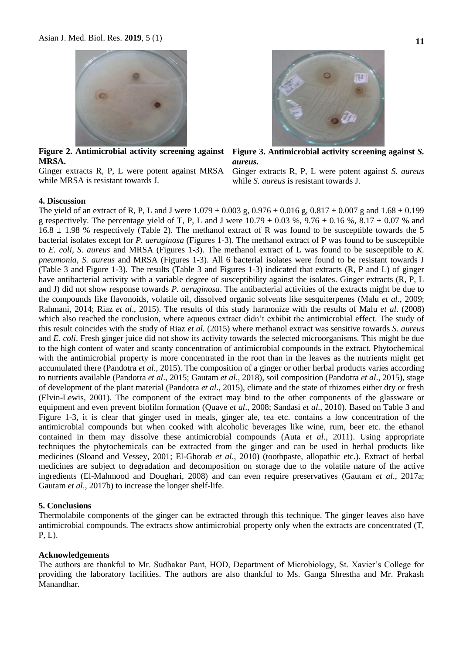

**Figure 2. Antimicrobial activity screening against MRSA.**

Ginger extracts R, P, L were potent against MRSA while MRSA is resistant towards J.



**Figure 3. Antimicrobial activity screening against** *S. aureus.*

Ginger extracts R, P, L were potent against *S. aureus* while *S. aureus* is resistant towards J.

#### **4. Discussion**

The yield of an extract of R, P, L and J were  $1.079 \pm 0.003$  g,  $0.976 \pm 0.016$  g,  $0.817 \pm 0.007$  g and  $1.68 \pm 0.199$ g respectively. The percentage yield of T, P, L and J were  $10.79 \pm 0.03$  %,  $9.76 \pm 0.16$  %,  $8.17 \pm 0.07$  % and  $16.8 \pm 1.98$  % respectively (Table 2). The methanol extract of R was found to be susceptible towards the 5 bacterial isolates except for *P. aeruginosa* (Figures 1-3). The methanol extract of P was found to be susceptible to *E. coli, S. aureus* and MRSA (Figures 1-3). The methanol extract of L was found to be susceptible to *K. pneumonia, S. aureus* and MRSA (Figures 1-3). All 6 bacterial isolates were found to be resistant towards J (Table 3 and Figure 1-3). The results (Table 3 and Figures 1-3) indicated that extracts (R, P and L) of ginger have antibacterial activity with a variable degree of susceptibility against the isolates. Ginger extracts (R, P, L and J) did not show response towards *P. aeruginosa*. The antibacterial activities of the extracts might be due to the compounds like flavonoids, volatile oil, dissolved organic solvents like sesquiterpenes (Malu *et al*., 2009; Rahmani, 2014; Riaz *et al*., 2015). The results of this study harmonize with the results of Malu *et al.* (2008) which also reached the conclusion, where aqueous extract didn't exhibit the antimicrobial effect. The study of this result coincides with the study of Riaz *et al.* (2015) where methanol extract was sensitive towards *S. aureus* and *E. coli*. Fresh ginger juice did not show its activity towards the selected microorganisms. This might be due to the high content of water and scanty concentration of antimicrobial compounds in the extract. Phytochemical with the antimicrobial property is more concentrated in the root than in the leaves as the nutrients might get accumulated there (Pandotra *et al*., 2015). The composition of a ginger or other herbal products varies according to nutrients available (Pandotra *et al*., 2015; Gautam *et al*., 2018), soil composition (Pandotra *et al*., 2015), stage of development of the plant material (Pandotra *et al*., 2015), climate and the state of rhizomes either dry or fresh (Elvin-Lewis, 2001). The component of the extract may bind to the other components of the glassware or equipment and even prevent biofilm formation (Quave *et al*., 2008; Sandasi *et al*., 2010). Based on Table 3 and Figure 1-3, it is clear that ginger used in meals, ginger ale, tea etc. contains a low concentration of the antimicrobial compounds but when cooked with alcoholic beverages like wine, rum, beer etc. the ethanol contained in them may dissolve these antimicrobial compounds (Auta *et al*., 2011). Using appropriate techniques the phytochemicals can be extracted from the ginger and can be used in herbal products like medicines (Sloand and Vessey, 2001; El-Ghorab *et al*., 2010) (toothpaste, allopathic etc.). Extract of herbal medicines are subject to degradation and decomposition on storage due to the volatile nature of the active ingredients (El-Mahmood and Doughari, 2008) and can even require preservatives (Gautam *et al*., 2017a; Gautam *et al*., 2017b) to increase the longer shelf-life.

## **5. Conclusions**

Thermolabile components of the ginger can be extracted through this technique. The ginger leaves also have antimicrobial compounds. The extracts show antimicrobial property only when the extracts are concentrated (T, P, L).

#### **Acknowledgements**

The authors are thankful to Mr. Sudhakar Pant, HOD, Department of Microbiology, St. Xavier's College for providing the laboratory facilities. The authors are also thankful to Ms. Ganga Shrestha and Mr. Prakash Manandhar.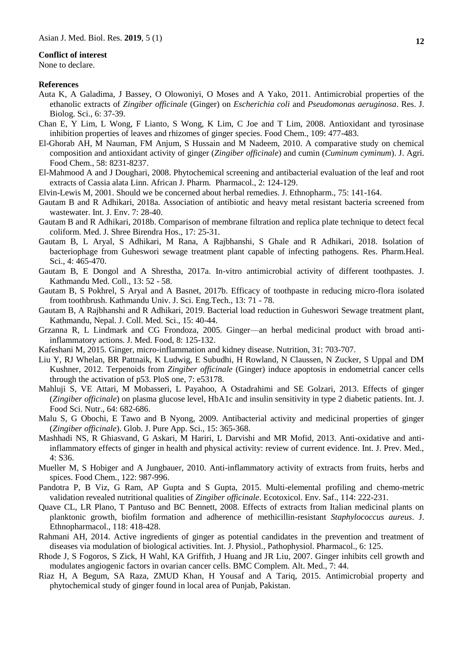#### **Conflict of interest**

None to declare.

#### **References**

- Auta K, A Galadima, J Bassey, O Olowoniyi, O Moses and A Yako, 2011. Antimicrobial properties of the ethanolic extracts of *Zingiber officinale* (Ginger) on *Escherichia coli* and *Pseudomonas aeruginosa*. Res. J. Biolog. Sci., 6: 37-39.
- Chan E, Y Lim, L Wong, F Lianto, S Wong, K Lim, C Joe and T Lim, 2008. Antioxidant and tyrosinase inhibition properties of leaves and rhizomes of ginger species. Food Chem., 109: 477-483.
- El-Ghorab AH, M Nauman, FM Anjum, S Hussain and M Nadeem, 2010. A comparative study on chemical composition and antioxidant activity of ginger (*Zingiber officinale*) and cumin (*Cuminum cyminum*). J. Agri. Food Chem., 58: 8231-8237.
- El-Mahmood A and J Doughari, 2008. Phytochemical screening and antibacterial evaluation of the leaf and root extracts of Cassia alata Linn. African J. Pharm. Pharmacol., 2: 124-129.
- Elvin-Lewis M, 2001. Should we be concerned about herbal remedies. J. Ethnopharm., 75: 141-164.
- Gautam B and R Adhikari, 2018a. Association of antibiotic and heavy metal resistant bacteria screened from wastewater. Int. J. Env. 7: 28-40.
- Gautam B and R Adhikari, 2018b. Comparison of membrane filtration and replica plate technique to detect fecal coliform. Med. J. Shree Birendra Hos., 17: 25-31.
- Gautam B, L Aryal, S Adhikari, M Rana, A Rajbhanshi, S Ghale and R Adhikari, 2018. Isolation of bacteriophage from Guheswori sewage treatment plant capable of infecting pathogens. Res. Pharm.Heal. Sci., 4: 465-470.
- Gautam B, E Dongol and A Shrestha, 2017a. In-vitro antimicrobial activity of different toothpastes. J. Kathmandu Med. Coll., 13: 52 - 58.
- Gautam B, S Pokhrel, S Aryal and A Basnet, 2017b. Efficacy of toothpaste in reducing micro-flora isolated from toothbrush. Kathmandu Univ. J. Sci. Eng.Tech., 13: 71 - 78.
- Gautam B, A Rajbhanshi and R Adhikari, 2019. Bacterial load reduction in Guheswori Sewage treatment plant, Kathmandu, Nepal. J. Coll. Med. Sci., 15: 40-44.
- Grzanna R, L Lindmark and CG Frondoza, 2005. Ginger—an herbal medicinal product with broad antiinflammatory actions. J. Med. Food, 8: 125-132.
- Kafeshani M, 2015. Ginger, micro-inflammation and kidney disease. Nutrition, 31: 703-707.
- Liu Y, RJ Whelan, BR Pattnaik, K Ludwig, E Subudhi, H Rowland, N Claussen, N Zucker, S Uppal and DM Kushner, 2012. Terpenoids from *Zingiber officinale* (Ginger) induce apoptosis in endometrial cancer cells through the activation of p53. PloS one, 7: e53178.
- Mahluji S, VE Attari, M Mobasseri, L Payahoo, A Ostadrahimi and SE Golzari, 2013. Effects of ginger (*Zingiber officinale*) on plasma glucose level, HbA1c and insulin sensitivity in type 2 diabetic patients. Int. J. Food Sci. Nutr., 64: 682-686.
- Malu S, G Obochi, E Tawo and B Nyong, 2009. Antibacterial activity and medicinal properties of ginger (*Zingiber officinale*). Glob. J. Pure App. Sci., 15: 365-368.
- Mashhadi NS, R Ghiasvand, G Askari, M Hariri, L Darvishi and MR Mofid, 2013. Anti-oxidative and antiinflammatory effects of ginger in health and physical activity: review of current evidence. Int. J. Prev. Med., 4: S36.
- Mueller M, S Hobiger and A Jungbauer, 2010. Anti-inflammatory activity of extracts from fruits, herbs and spices. Food Chem., 122: 987-996.
- Pandotra P, B Viz, G Ram, AP Gupta and S Gupta, 2015. Multi-elemental profiling and chemo-metric validation revealed nutritional qualities of *Zingiber officinale*. Ecotoxicol. Env. Saf., 114: 222-231.
- Quave CL, LR Plano, T Pantuso and BC Bennett, 2008. Effects of extracts from Italian medicinal plants on planktonic growth, biofilm formation and adherence of methicillin-resistant *Staphylococcus aureus*. J. Ethnopharmacol., 118: 418-428.
- Rahmani AH, 2014. Active ingredients of ginger as potential candidates in the prevention and treatment of diseases via modulation of biological activities. Int. J. Physiol., Pathophysiol. Pharmacol., 6: 125.
- Rhode J, S Fogoros, S Zick, H Wahl, KA Griffith, J Huang and JR Liu, 2007. Ginger inhibits cell growth and modulates angiogenic factors in ovarian cancer cells. BMC Complem. Alt. Med., 7: 44.
- Riaz H, A Begum, SA Raza, ZMUD Khan, H Yousaf and A Tariq, 2015. Antimicrobial property and phytochemical study of ginger found in local area of Punjab, Pakistan.